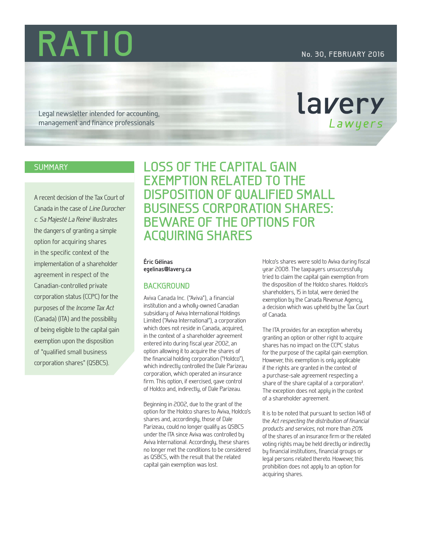**RATIO No. 30, FEBRUARY 2016**

lavery

Lawyers

Legal newsletter intended for accounting, management and finance professionals

## **SUMMARY**

A recent decision of the Tax Court of Canada in the case of *Line Durocher c. Sa Majesté La Reine*<sup>1</sup> illustrates the dangers of granting a simple option for acquiring shares in the specific context of the implementation of a shareholder agreement in respect of the Canadian-controlled private corporation status (CCPC) for the purposes of the *Income Tax Act*  (Canada) (ITA) and the possibility of being eligible to the capital gain exemption upon the disposition of "qualified small business corporation shares" (QSBCS).

**LOSS OF THE CAPITAL GAIN EXEMPTION RELATED TO THE DISPOSITION OF QUALIFIED SMALL BUSINESS CORPORATION SHARES: BEWARE OF THE OPTIONS FOR ACQUIRING SHARES ACQUIRING SHARES**

# **Éric Gélinas egelinas@lavery.ca**

### **BACKGROUND**

**BACKGROUND** Aviva Canada Inc. ("Aviva"), a financial institution and a wholly-owned Canadian subsidiary of Aviva International Holdings Limited ("Aviva International"), a corporation which does not reside in Canada, acquired, in the context of a shareholder agreement entered into during fiscal year 2002, an option allowing it to acquire the shares of the financial holding corporation ("Holdco"), which indirectly controlled the Dale Parizeau corporation, which operated an insurance firm. This option, if exercised, gave control of Holdco and, indirectly, of Dale Parizeau.

Beginning in 2002, due to the grant of the option for the Holdco shares to Aviva, Holdco's shares and, accordingly, those of Dale Parizeau, could no longer qualify as QSBCS under the ITA since Aviva was controlled by Aviva International. Accordingly, these shares no longer met the conditions to be considered as QSBCS, with the result that the related capital gain exemption was lost.

Holco's shares were sold to Aviva during fiscal year 2008. The taxpayers unsuccessfully tried to claim the capital gain exemption from the disposition of the Holdco shares. Holdco's shareholders, 15 in total, were denied the exemption by the Canada Revenue Agency, a decision which was upheld by the Tax Court of Canada.

The ITA provides for an exception whereby granting an option or other right to acquire shares has no impact on the CCPC status for the purpose of the capital gain exemption. However, this exemption is only applicable if the rights are granted in the context of a purchase-sale agreement respecting a share of the share capital of a corporation<sup>2</sup>. The exception does not apply in the context of a shareholder agreement.

It is to be noted that pursuant to section 148 of the *Act respecting the distribution of financial products and services,* not more than 20% of the shares of an insurance firm or the related voting rights may be held directly or indirectly by financial institutions, financial groups or legal persons related thereto. However, this prohibition does not apply to an option for acquiring shares.